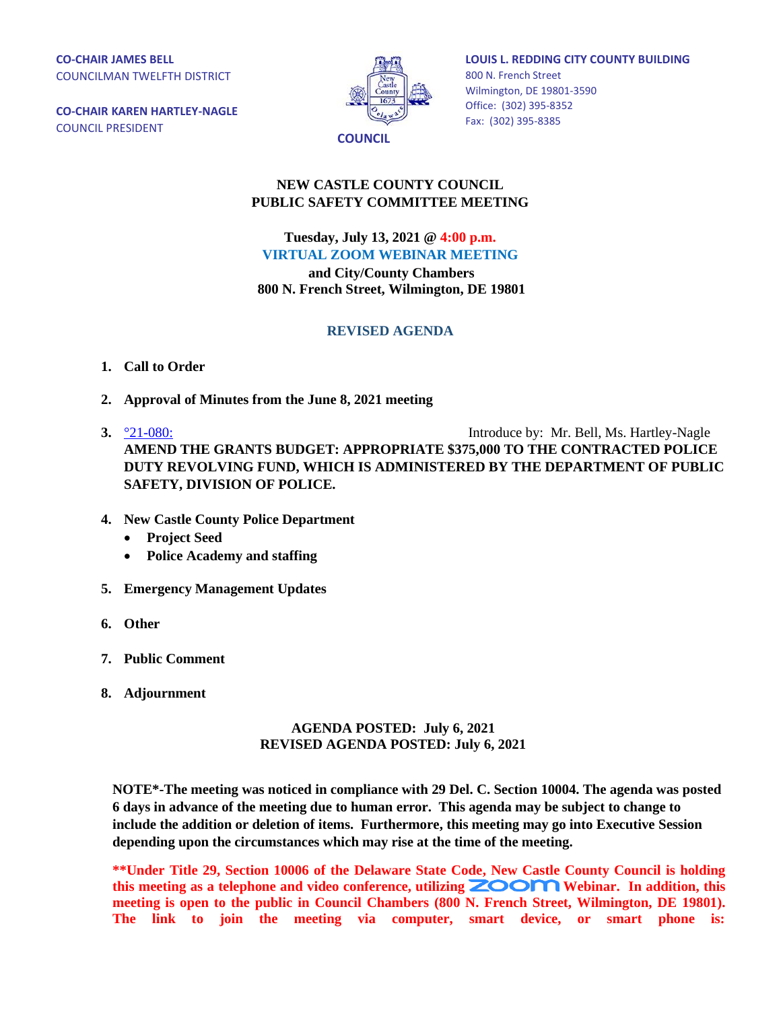**CO-CHAIR JAMES BELL** COUNCILMAN TWELFTH DISTRICT

**CO-CHAIR KAREN HARTLEY-NAGLE** COUNCIL PRESIDENT



**LOUIS L. REDDING CITY COUNTY BUILDING** 800 N. French Street Wilmington, DE 19801-3590 Office: (302) 395-8352 Fax: (302) 395-8385

## **NEW CASTLE COUNTY COUNCIL PUBLIC SAFETY COMMITTEE MEETING**

**Tuesday, July 13, 2021 @ 4:00 p.m. VIRTUAL ZOOM WEBINAR MEETING**

**and City/County Chambers 800 N. French Street, Wilmington, DE 19801**

## **REVISED AGENDA**

- **1. Call to Order**
- **2. Approval of Minutes from the June 8, 2021 meeting**
- **3.**  $\frac{921-080}{2}$  Introduce by: Mr. Bell, Ms. Hartley-Nagle **AMEND THE GRANTS BUDGET: APPROPRIATE \$375,000 TO THE CONTRACTED POLICE DUTY REVOLVING FUND, WHICH IS ADMINISTERED BY THE DEPARTMENT OF PUBLIC SAFETY, DIVISION OF POLICE.**
- **4. New Castle County Police Department**
	- **Project Seed**
	- **Police Academy and staffing**
- **5. Emergency Management Updates**
- **6. Other**
- **7. Public Comment**
- **8. Adjournment**

## **AGENDA POSTED: July 6, 2021 REVISED AGENDA POSTED: July 6, 2021**

**NOTE\*-The meeting was noticed in compliance with 29 Del. C. Section 10004. The agenda was posted 6 days in advance of the meeting due to human error. This agenda may be subject to change to include the addition or deletion of items. Furthermore, this meeting may go into Executive Session depending upon the circumstances which may rise at the time of the meeting.** 

**\*\*Under Title 29, Section 10006 of the Delaware State Code, New Castle County Council is holding**  this meeting as a telephone and video conference, utilizing **ZOOM** Webinar. In addition, this **meeting is open to the public in Council Chambers (800 N. French Street, Wilmington, DE 19801). The link to join the meeting via computer, smart device, or smart phone is:**